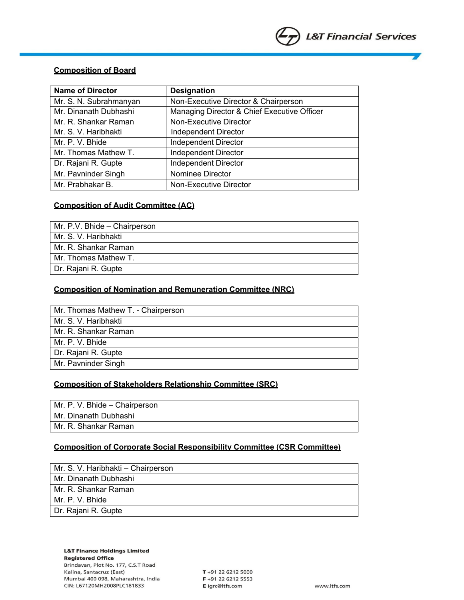

### **Composition of Board**

| <b>Name of Director</b> | <b>Designation</b>                          |
|-------------------------|---------------------------------------------|
| Mr. S. N. Subrahmanyan  | Non-Executive Director & Chairperson        |
| Mr. Dinanath Dubhashi   | Managing Director & Chief Executive Officer |
| Mr. R. Shankar Raman    | <b>Non-Executive Director</b>               |
| Mr. S. V. Haribhakti    | <b>Independent Director</b>                 |
| Mr. P. V. Bhide         | <b>Independent Director</b>                 |
| Mr. Thomas Mathew T.    | <b>Independent Director</b>                 |
| Dr. Rajani R. Gupte     | <b>Independent Director</b>                 |
| Mr. Pavninder Singh     | Nominee Director                            |
| Mr. Prabhakar B.        | Non-Executive Director                      |

# **Composition of Audit Committee (AC)**

| Mr. P.V. Bhide - Chairperson |
|------------------------------|
| l Mr. S. V. Haribhakti       |
| l Mr. R. Shankar Raman.      |
| l Mr. Thomas Mathew T.       |
| Dr. Rajani R. Gupte          |

# **Composition of Nomination and Remuneration Committee (NRC)**

| Mr. Thomas Mathew T. - Chairperson |
|------------------------------------|
| Mr. S. V. Haribhakti               |
| Mr. R. Shankar Raman               |
| Mr. P. V. Bhide                    |
| Dr. Rajani R. Gupte                |
| Mr. Pavninder Singh                |

## **Composition of Stakeholders Relationship Committee (SRC)**

| Mr. P. V. Bhide – Chairperson |
|-------------------------------|
| Mr. Dinanath Dubhashi         |
| Mr. R. Shankar Raman          |

## **Composition of Corporate Social Responsibility Committee (CSR Committee)**

| Mr. S. V. Haribhakti – Chairperson |
|------------------------------------|
| l Mr. Dinanath Dubhashi            |
| l Mr. R. Shankar Raman.            |
| l Mr. P. V. Bhide                  |
| Dr. Rajani R. Gupte                |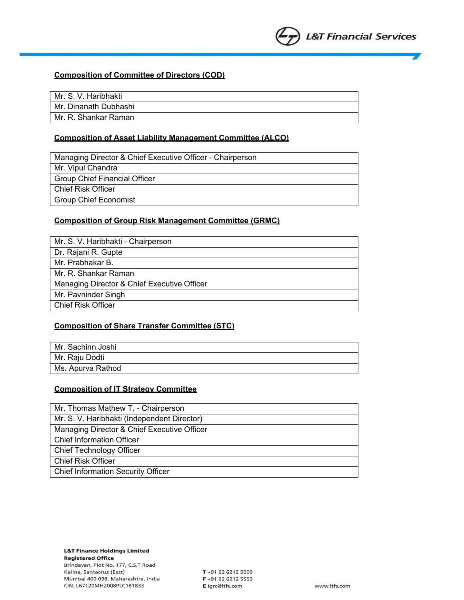

# **Composition of Committee of Directors (COD)**

Mr. S. V. Haribhakti Mr. Dinanath Dubhashi Mr. R. Shankar Raman

#### **Composition of Asset Liability Management Committee (ALCO)**

| Managing Director & Chief Executive Officer - Chairperson |
|-----------------------------------------------------------|
| Mr. Vipul Chandra                                         |
| <b>Group Chief Financial Officer</b>                      |
| <b>Chief Risk Officer</b>                                 |
| <b>Group Chief Economist</b>                              |

### **Composition of Group Risk Management Committee (GRMC)**

| Mr. S. V. Haribhakti - Chairperson          |
|---------------------------------------------|
| Dr. Rajani R. Gupte                         |
| Mr. Prabhakar B.                            |
| Mr. R. Shankar Raman                        |
| Managing Director & Chief Executive Officer |
| Mr. Pavninder Singh                         |
| <b>Chief Risk Officer</b>                   |
|                                             |

#### **Composition of Share Transfer Committee (STC)**

| Mr. Sachinn Joshi |  |
|-------------------|--|
| Mr. Raju Dodti    |  |
| Ms. Apurva Rathod |  |

#### **Composition of IT Strategy Committee**